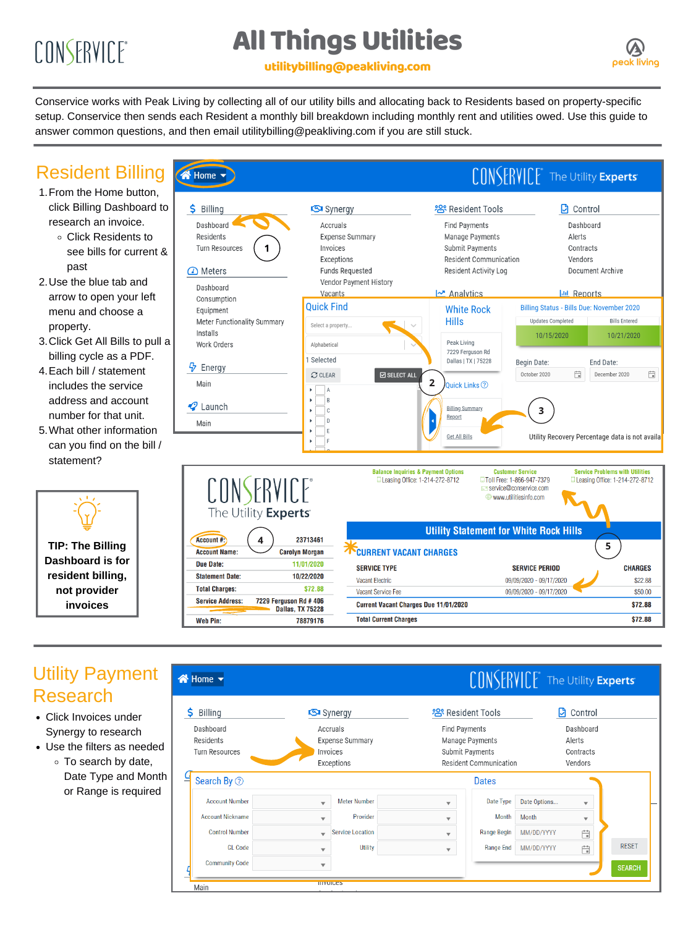

|                                                                             | $\pm$ Lugollig Ullius. The Internet of the   | $\equiv$ service@conservice.com<br><b>₩ww.utilitiesinfo.com</b> | $\pm$ Ludonny Unit C in Let $\pm$ 14 $\pm$ 12 $\pm$ 01 i.e. |
|-----------------------------------------------------------------------------|----------------------------------------------|-----------------------------------------------------------------|-------------------------------------------------------------|
| The Utility Experts                                                         |                                              |                                                                 |                                                             |
| 4<br>23713461<br>Account #:                                                 |                                              | <b>Utility Statement for White Rock Hills</b>                   |                                                             |
| <b>Account Name:</b><br><b>Carolyn Morgan</b>                               | <b>CURRENT VACANT CHARGES</b>                |                                                                 | 5                                                           |
| 11/01/2020<br><b>Due Date:</b>                                              | <b>SERVICE TYPE</b>                          | <b>SERVICE PERIOD</b>                                           | <b>CHARGES</b>                                              |
| 10/22/2020<br><b>Statement Date:</b>                                        | <b>Vacant Electric</b>                       | 09/09/2020 - 09/17/2020                                         | \$22.88                                                     |
| <b>Total Charges:</b><br>\$72.88                                            | <b>Vacant Service Fee</b>                    | 09/09/2020 - 09/17/2020                                         | \$50.00                                                     |
| <b>Service Address:</b><br>7229 Ferguson Rd #406<br><b>Dallas, TX 75228</b> | <b>Current Vacant Charges Due 11/01/2020</b> |                                                                 | \$72.88                                                     |
| <b>Web Pin:</b><br>78879176                                                 | <b>Total Current Charges</b>                 |                                                                 | \$72.88                                                     |

# CONSERVICE®

past

property.

statement?



 $\begin{array}{c} \mathbf{a} & \mathbf{b} & \mathbf{c} \\ \mathbf{c} & \mathbf{c} & \mathbf{c} \end{array}$ 

**Balance Inquiries & Payment Options** □ Leasing Office: 1-214-272-8712

**Customer Service** Toll Free: 1-866-947-7379

**Service Problems with Utilities** □ Leasing Office: 1-214-272-8712

Conservice works with Peak Living by collecting all of our utility bills and allocating back to Residents based on property-specific setup. Conservice then sends each Resident a monthly bill breakdown including monthly rent and utilities owed. Use this guide to answer common questions, and then email utilitybilling@peakliving.com if you are still stuck.

- Click Invoices under Synergy to research
- Use the filters as needed
	- To search by date, Date Type and Month or Range is required

| <b>谷 Home</b> v                                                                                                                           |                                                                                                                                         | CONSERVICE <sup>®</sup> The Utility Experts                                  |                                                                                    |                                                                       |                                                   |                                                              |                               |  |  |  |  |
|-------------------------------------------------------------------------------------------------------------------------------------------|-----------------------------------------------------------------------------------------------------------------------------------------|------------------------------------------------------------------------------|------------------------------------------------------------------------------------|-----------------------------------------------------------------------|---------------------------------------------------|--------------------------------------------------------------|-------------------------------|--|--|--|--|
| Ś<br><b>Billing</b><br>Dashboard<br>Residents<br><b>Turn Resources</b>                                                                    | <b>S</b> Synergy<br>Accruals<br>Invoices                                                                                                | <b>Expense Summary</b><br>Exceptions                                         | es Resident Tools<br><b>Find Payments</b><br>Submit Payments                       | Manage Payments<br><b>Resident Communication</b>                      | Ŋ                                                 | Control<br>Dashboard<br>Alerts<br>Contracts<br>Vendors       |                               |  |  |  |  |
| Search By $\odot$<br><b>Account Number</b><br><b>Account Nickname</b><br><b>Control Number</b><br><b>GL Code</b><br><b>Community Code</b> | $\overline{\phantom{0}}$<br>$\overline{\phantom{a}}$<br>$\overline{\phantom{a}}$<br>$\overline{\phantom{0}}$<br>$\overline{\mathbf{v}}$ | <b>Meter Number</b><br>Provider<br><b>Service Location</b><br><b>Utility</b> | $\overline{\mathbf{v}}$<br>▼<br>$\overline{\mathbf{v}}$<br>$\overline{\mathbf{v}}$ | <b>Dates</b><br>Date Type<br>Month<br>Range Begin<br><b>Range End</b> | Date Options<br>Month<br>MM/DD/YYYY<br>MM/DD/YYYY | $\overline{\mathbf{v}}$<br>$\overline{\mathbf{v}}$<br>Ë<br>Ë | <b>RESET</b><br><b>SEARCH</b> |  |  |  |  |
| Main                                                                                                                                      | <b>IIIVUILCS</b>                                                                                                                        |                                                                              |                                                                                    |                                                                       |                                                   |                                                              |                               |  |  |  |  |

## Utility Payment Research

# All ThingsUtilities